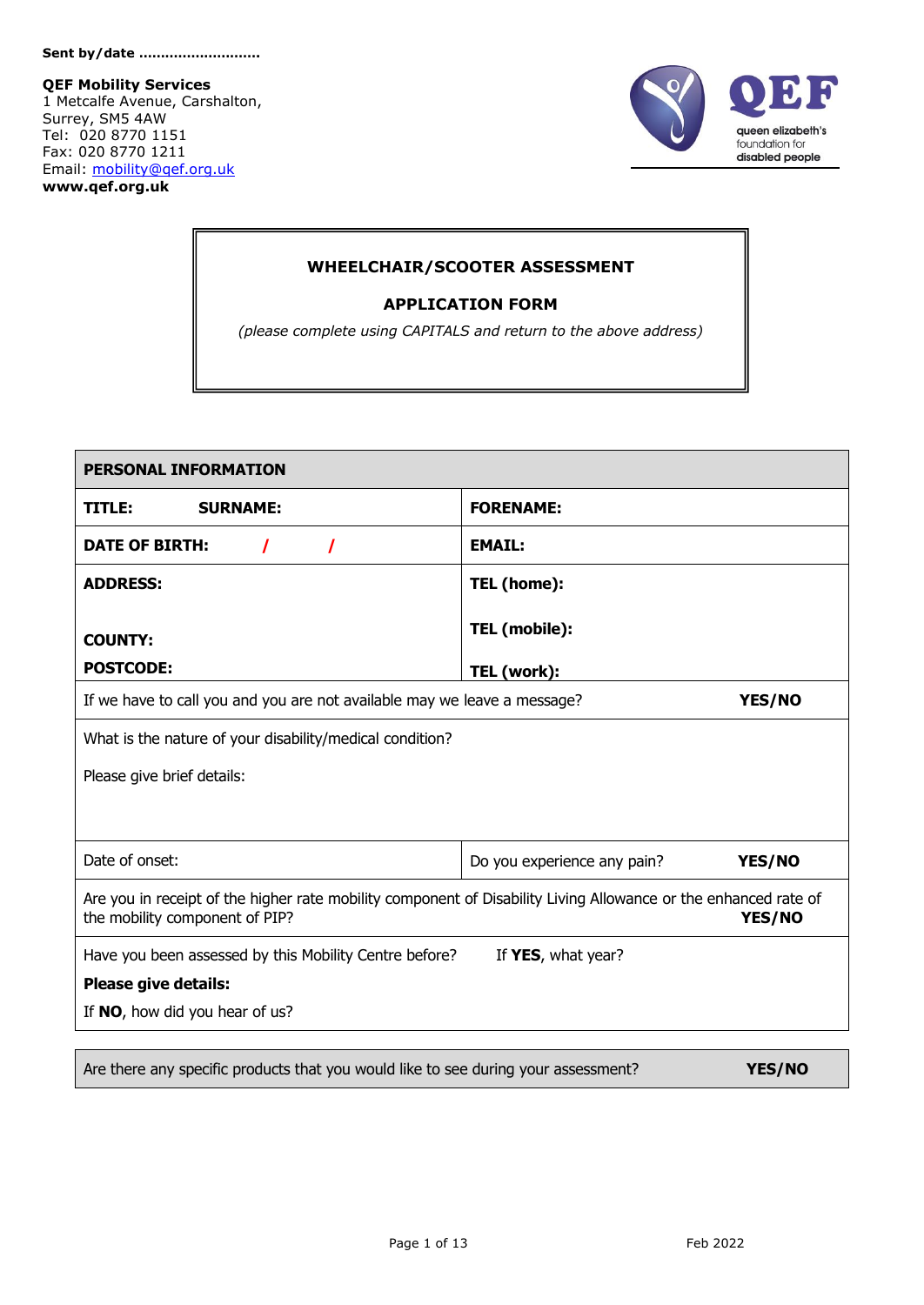**QEF Mobility Services**

1 Metcalfe Avenue, Carshalton, Surrey, SM5 4AW Tel: 020 8770 1151 Fax: 020 8770 1211 Email: [mobility@qef.org.uk](mailto:mobility@qef.org.uk) **www.qef.org.uk**



#### **WHEELCHAIR/SCOOTER ASSESSMENT**

#### **APPLICATION FORM**

*(please complete using CAPITALS and return to the above address)*

| <b>PERSONAL INFORMATION</b>                                                                                                                       |                                       |
|---------------------------------------------------------------------------------------------------------------------------------------------------|---------------------------------------|
| <b>SURNAME:</b><br>TITLE:                                                                                                                         | <b>FORENAME:</b>                      |
| <b>DATE OF BIRTH:</b><br>$\prime$<br>I                                                                                                            | <b>EMAIL:</b>                         |
| <b>ADDRESS:</b>                                                                                                                                   | TEL (home):                           |
| <b>COUNTY:</b>                                                                                                                                    | TEL (mobile):                         |
| <b>POSTCODE:</b>                                                                                                                                  | TEL (work):                           |
| If we have to call you and you are not available may we leave a message?                                                                          | YES/NO                                |
| What is the nature of your disability/medical condition?                                                                                          |                                       |
| Please give brief details:                                                                                                                        |                                       |
| Date of onset:                                                                                                                                    | YES/NO<br>Do you experience any pain? |
| Are you in receipt of the higher rate mobility component of Disability Living Allowance or the enhanced rate of<br>the mobility component of PIP? | YES/NO                                |
| Have you been assessed by this Mobility Centre before?                                                                                            | If YES, what year?                    |
| <b>Please give details:</b>                                                                                                                       |                                       |
| If NO, how did you hear of us?                                                                                                                    |                                       |
|                                                                                                                                                   |                                       |
| Are there any specific products that you would like to see during your assessment?                                                                | YES/NO                                |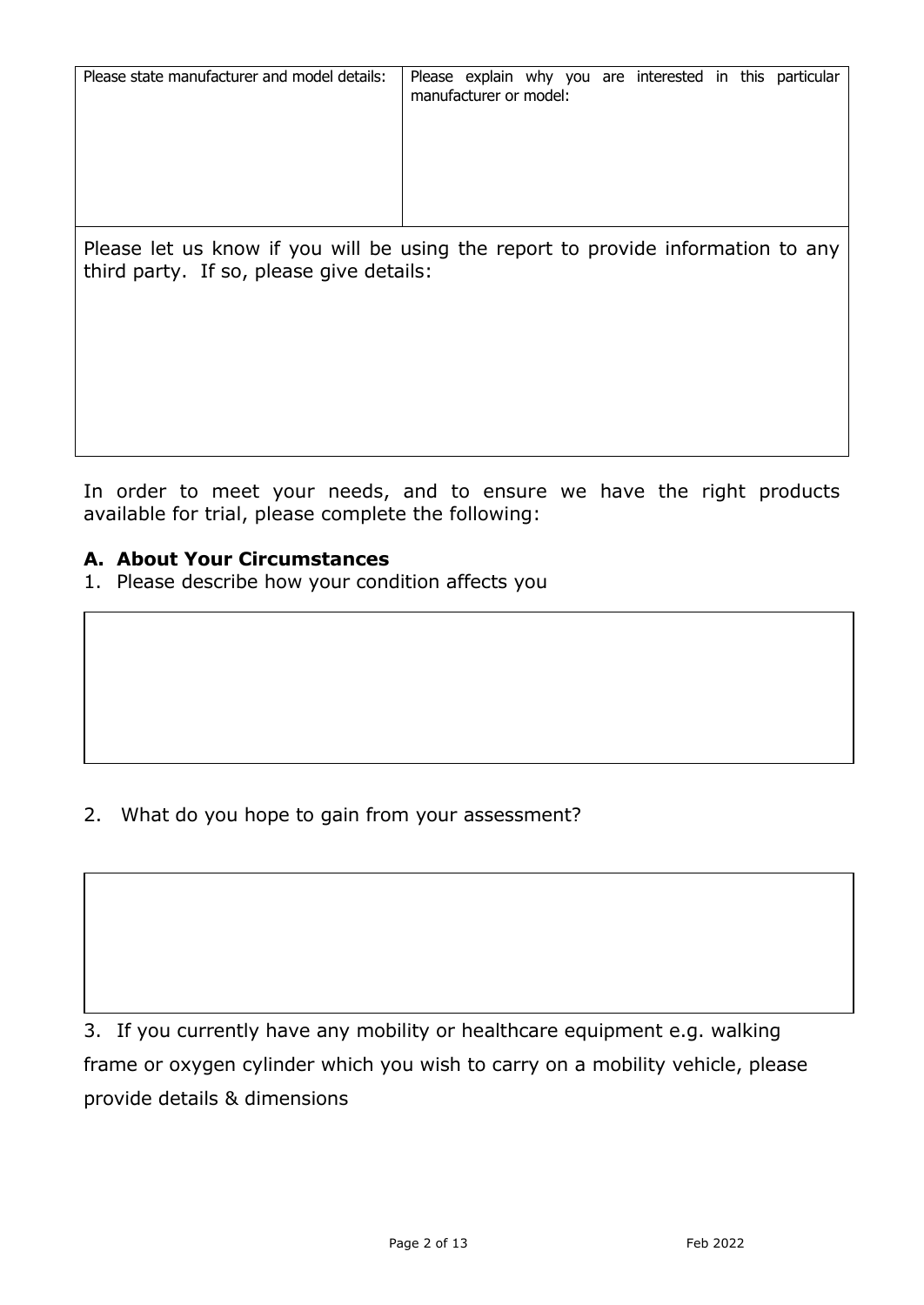| Please state manufacturer and model details:                                     | manufacturer or model: |  |  | Please explain why you are interested in this particular |  |  |
|----------------------------------------------------------------------------------|------------------------|--|--|----------------------------------------------------------|--|--|
|                                                                                  |                        |  |  |                                                          |  |  |
|                                                                                  |                        |  |  |                                                          |  |  |
|                                                                                  |                        |  |  |                                                          |  |  |
| Please let us know if you will be using the report to provide information to any |                        |  |  |                                                          |  |  |

In order to meet your needs, and to ensure we have the right products available for trial, please complete the following:

### **A. About Your Circumstances**

third party. If so, please give details:

1. Please describe how your condition affects you

2. What do you hope to gain from your assessment?

3. If you currently have any mobility or healthcare equipment e.g. walking frame or oxygen cylinder which you wish to carry on a mobility vehicle, please provide details & dimensions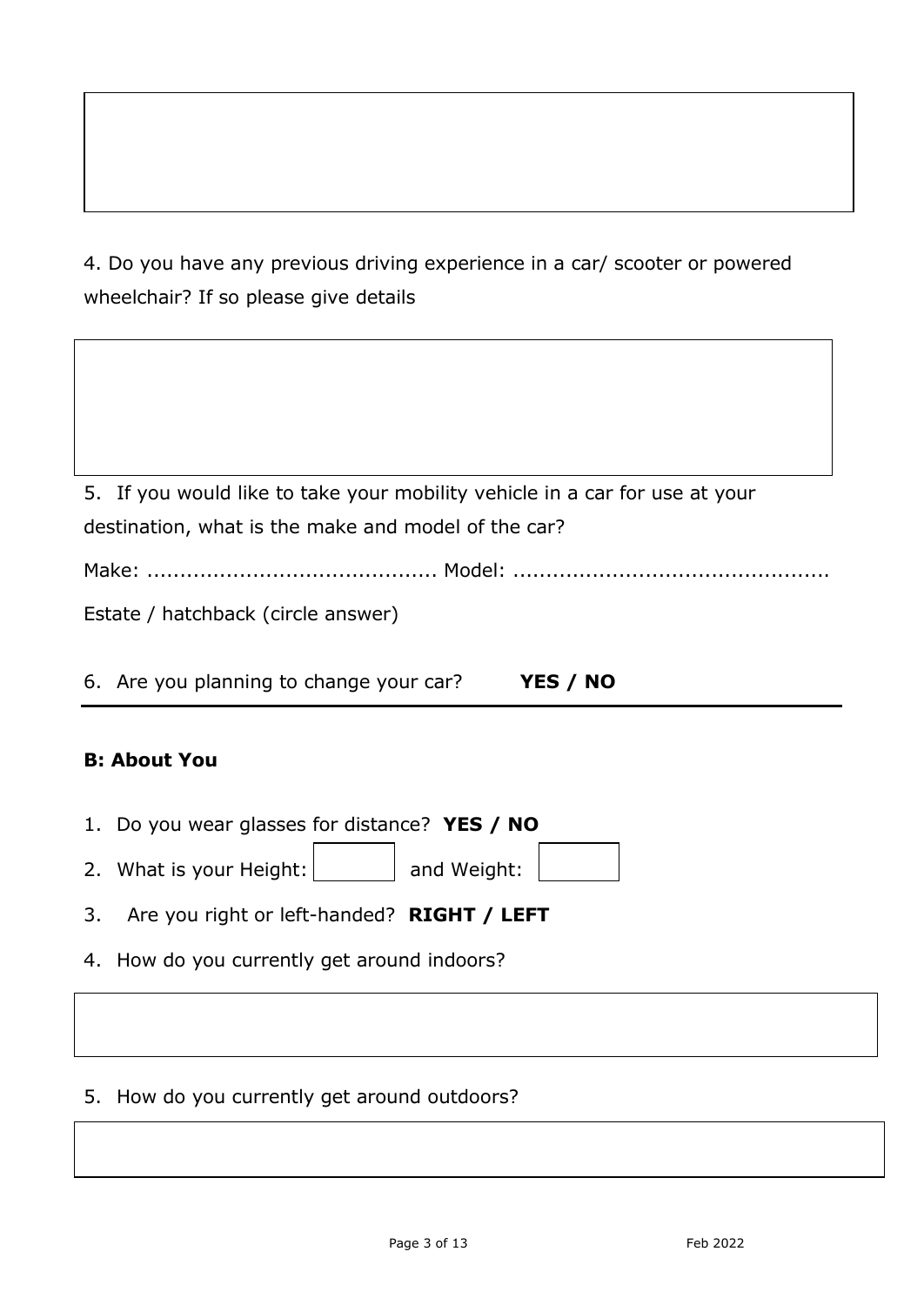4. Do you have any previous driving experience in a car/ scooter or powered wheelchair? If so please give details

| 5. If you would like to take your mobility vehicle in a car for use at your |
|-----------------------------------------------------------------------------|
| destination, what is the make and model of the car?                         |
|                                                                             |
| Estate / hatchback (circle answer)                                          |
|                                                                             |
| 6. Are you planning to change your car?<br>YES / NO                         |

# **B: About You**

| 1. Do you wear glasses for distance? YES / NO |             |  |
|-----------------------------------------------|-------------|--|
| 2. What is your Height:                       | and Weight: |  |

3. Are you right or left-handed? **RIGHT / LEFT**

4. How do you currently get around indoors?

5. How do you currently get around outdoors?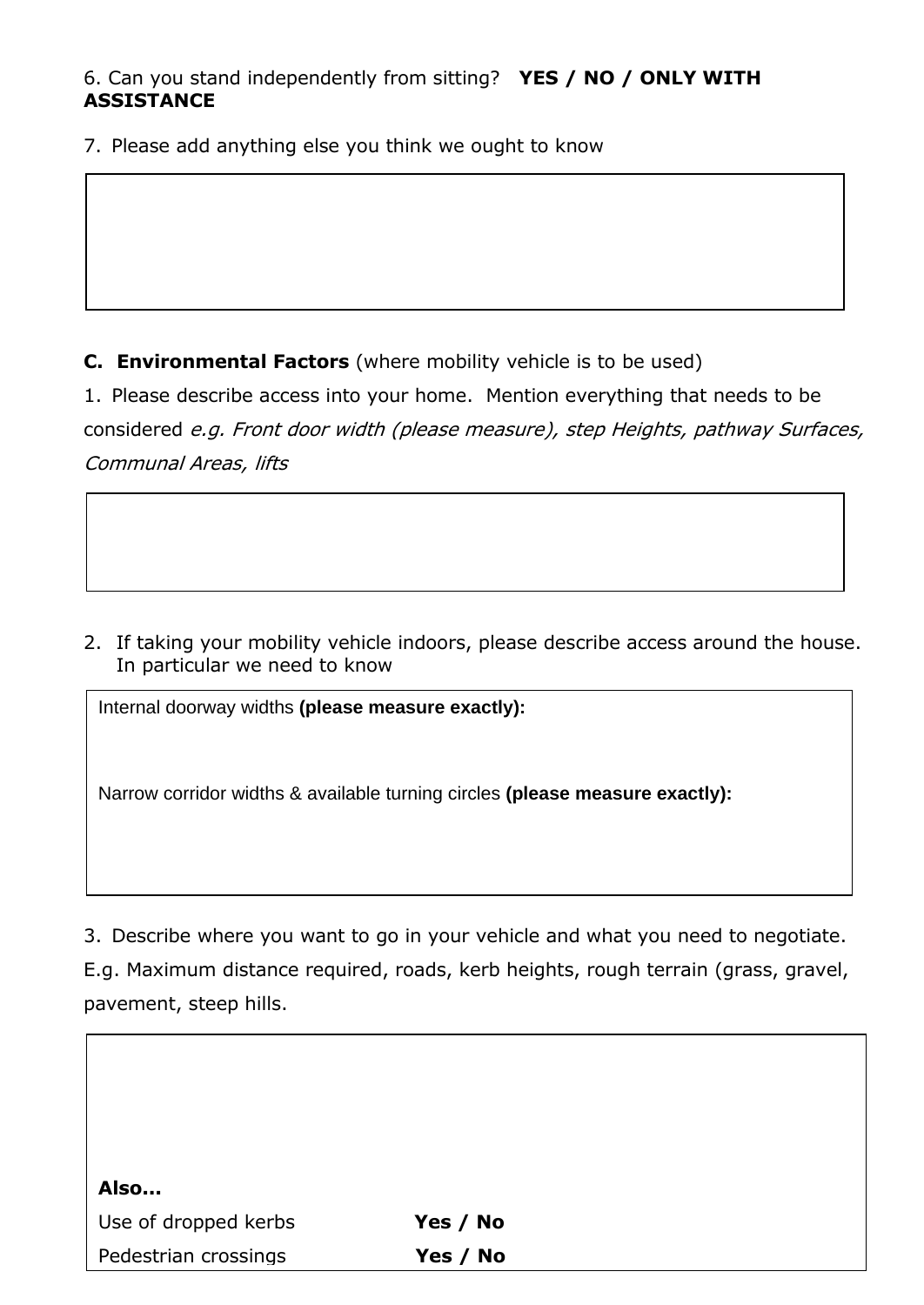# 6. Can you stand independently from sitting? **YES / NO / ONLY WITH ASSISTANCE**

7. Please add anything else you think we ought to know

**C. Environmental Factors** (where mobility vehicle is to be used)

1. Please describe access into your home. Mention everything that needs to be considered e.g. Front door width (please measure), step Heights, pathway Surfaces, Communal Areas, lifts

2. If taking your mobility vehicle indoors, please describe access around the house. In particular we need to know

Internal doorway widths **(please measure exactly):** 

Narrow corridor widths & available turning circles **(please measure exactly):**

3. Describe where you want to go in your vehicle and what you need to negotiate.

E.g. Maximum distance required, roads, kerb heights, rough terrain (grass, gravel, pavement, steep hills.

| Also                 |          |  |
|----------------------|----------|--|
| Use of dropped kerbs | Yes / No |  |
| Pedestrian crossings | Yes / No |  |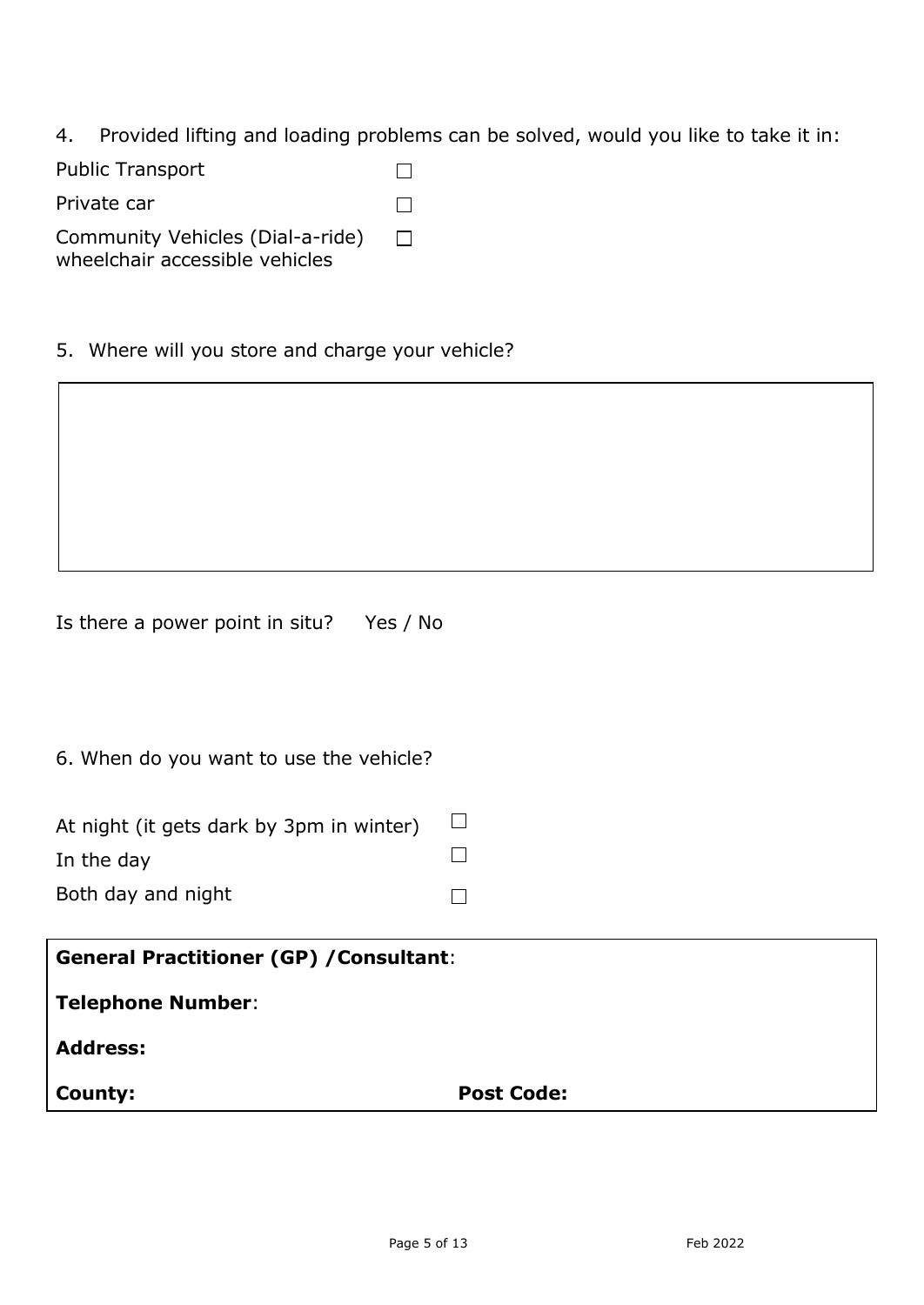4. Provided lifting and loading problems can be solved, would you like to take it in:

Public Transport  $\Box$ Private car  $\Box$ Community Vehicles (Dial-a-ride)  $\Box$ 

wheelchair accessible vehicles

5. Where will you store and charge your vehicle?

Is there a power point in situ? Yes / No

6. When do you want to use the vehicle?

| At night (it gets dark by 3pm in winter) |  |
|------------------------------------------|--|
| In the day                               |  |
| Both day and night                       |  |

| <b>General Practitioner (GP) / Consultant:</b> |                   |  |
|------------------------------------------------|-------------------|--|
| <b>Telephone Number:</b>                       |                   |  |
| <b>Address:</b>                                |                   |  |
| County:                                        | <b>Post Code:</b> |  |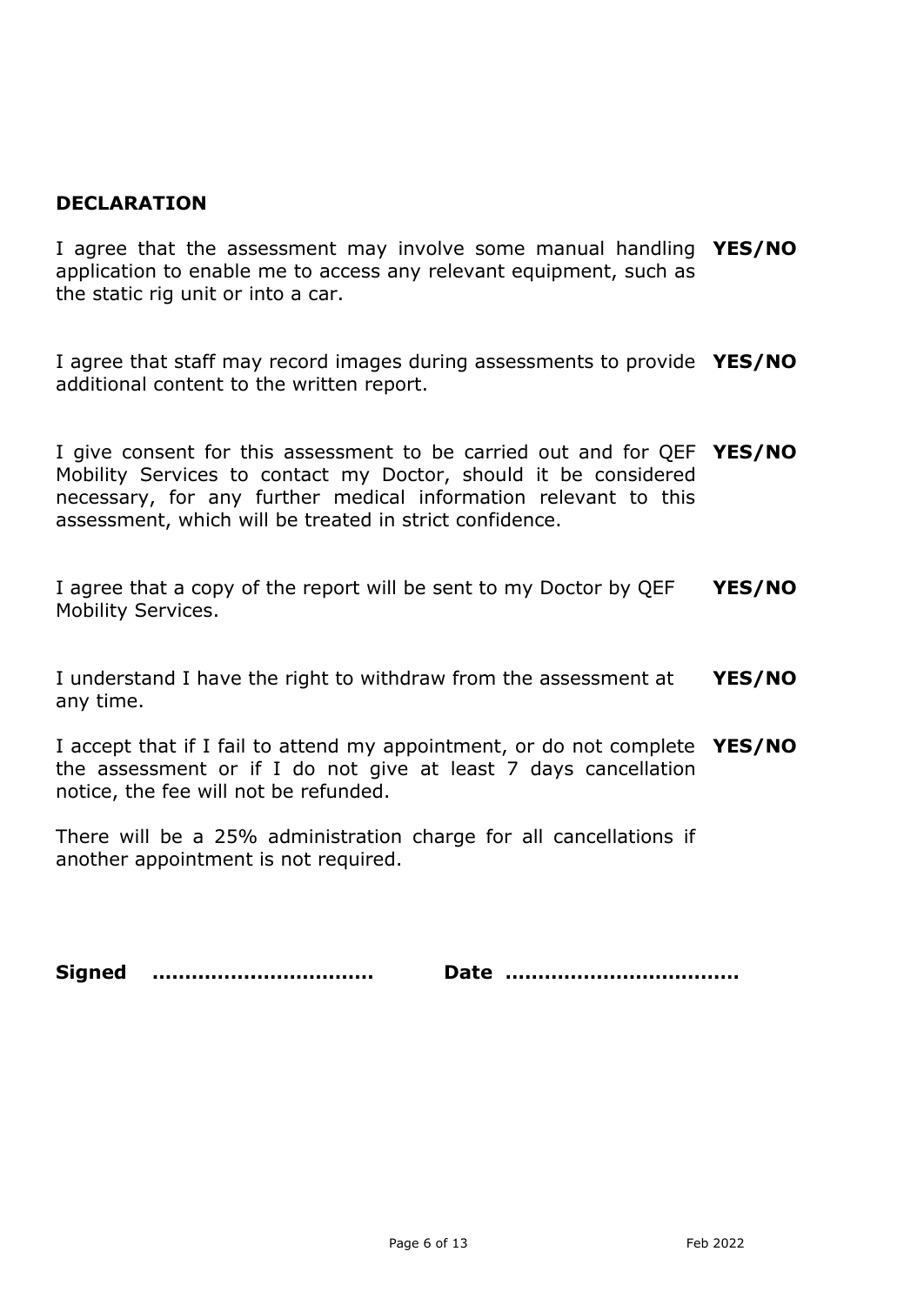## **DECLARATION**

I agree that the assessment may involve some manual handling **YES/NO** application to enable me to access any relevant equipment, such as the static rig unit or into a car.

I agree that staff may record images during assessments to provide **YES/NO** additional content to the written report.

I give consent for this assessment to be carried out and for QEF **YES/NO** Mobility Services to contact my Doctor, should it be considered necessary, for any further medical information relevant to this assessment, which will be treated in strict confidence.

I agree that a copy of the report will be sent to my Doctor by QEF Mobility Services. **YES/NO**

I understand I have the right to withdraw from the assessment at any time. **YES/NO**

I accept that if I fail to attend my appointment, or do not complete **YES/NO** the assessment or if I do not give at least 7 days cancellation notice, the fee will not be refunded.

There will be a 25% administration charge for all cancellations if another appointment is not required.

**Signed …………….……………… Date ………………………………**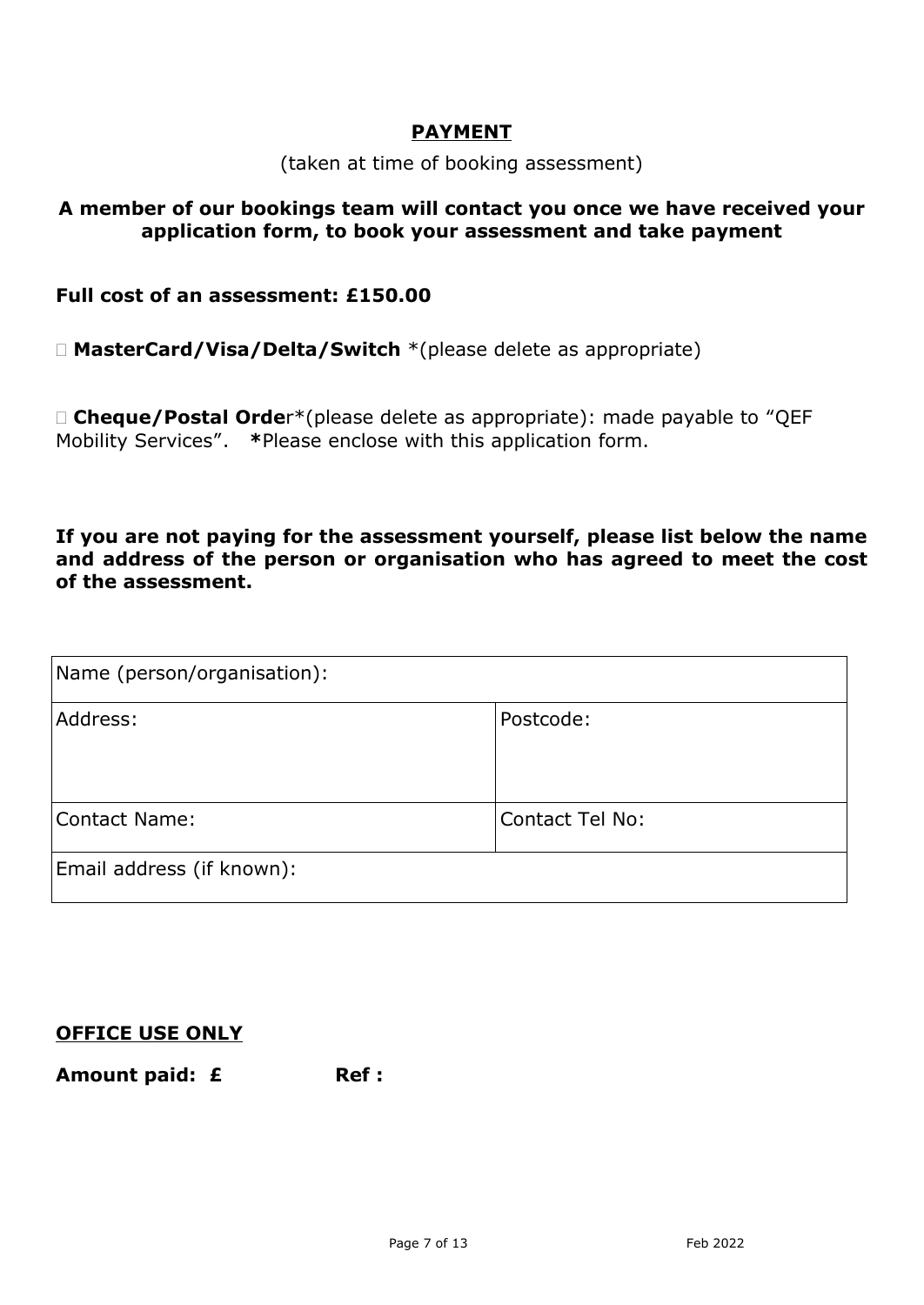### **PAYMENT**

(taken at time of booking assessment)

### **A member of our bookings team will contact you once we have received your application form, to book your assessment and take payment**

### **Full cost of an assessment: £150.00**

**MasterCard/Visa/Delta/Switch** \*(please delete as appropriate)

 **Cheque/Postal Orde**r\*(please delete as appropriate): made payable to "QEF Mobility Services". **\***Please enclose with this application form.

**If you are not paying for the assessment yourself, please list below the name and address of the person or organisation who has agreed to meet the cost of the assessment.**

| Name (person/organisation): |                        |  |
|-----------------------------|------------------------|--|
| Address:                    | Postcode:              |  |
| Contact Name:               | <b>Contact Tel No:</b> |  |
| Email address (if known):   |                        |  |

### **OFFICE USE ONLY**

Amount paid: £ Ref :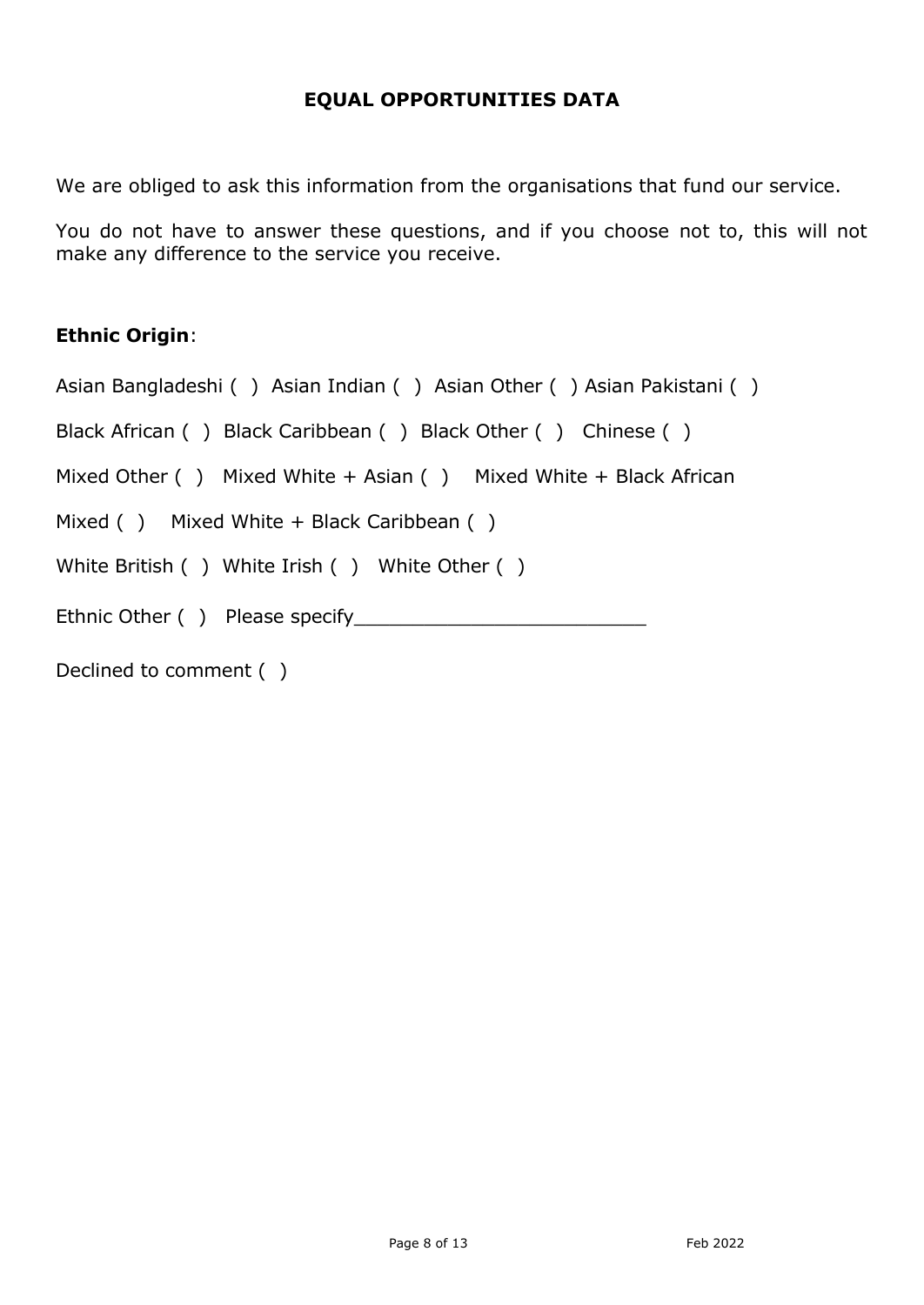## **EQUAL OPPORTUNITIES DATA**

We are obliged to ask this information from the organisations that fund our service.

You do not have to answer these questions, and if you choose not to, this will not make any difference to the service you receive.

# **Ethnic Origin**:

Asian Bangladeshi ( ) Asian Indian ( ) Asian Other ( ) Asian Pakistani ( )

Black African ( ) Black Caribbean ( ) Black Other ( ) Chinese ( )

Mixed Other ( ) Mixed White + Asian ( ) Mixed White + Black African

Mixed ( ) Mixed White + Black Caribbean ( )

White British ( ) White Irish ( ) White Other ( )

Ethnic Other ( ) Please specify\_\_\_\_\_\_\_\_\_\_\_\_\_\_\_\_\_\_\_\_\_\_\_\_\_

Declined to comment ( )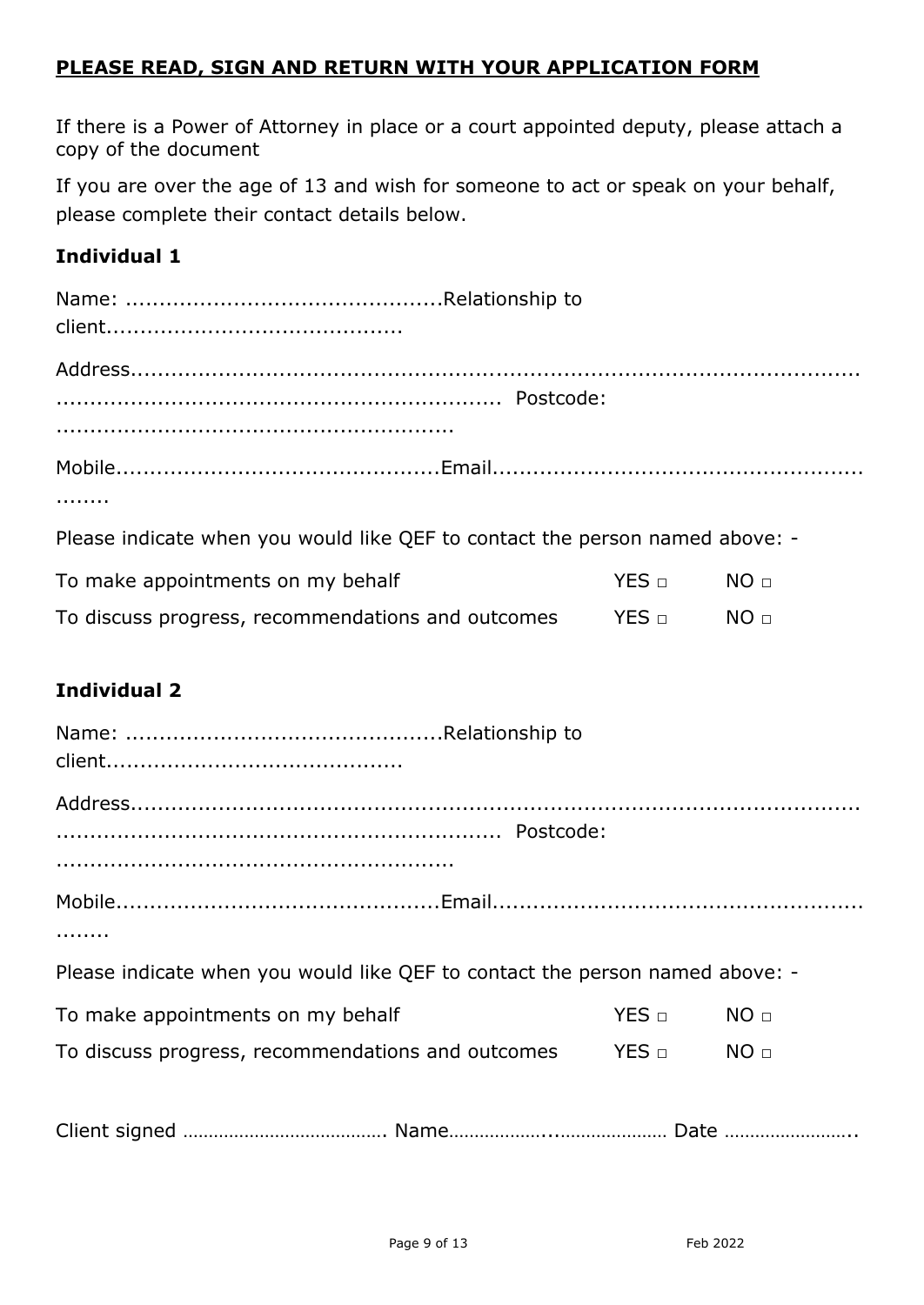# **PLEASE READ, SIGN AND RETURN WITH YOUR APPLICATION FORM**

If there is a Power of Attorney in place or a court appointed deputy, please attach a copy of the document

If you are over the age of 13 and wish for someone to act or speak on your behalf, please complete their contact details below.

# **Individual 1**

| Please indicate when you would like QEF to contact the person named above: - |  |
|------------------------------------------------------------------------------|--|

| To make appointments on my behalf                 | YES   □         | NO <sub>□</sub> |
|---------------------------------------------------|-----------------|-----------------|
| To discuss progress, recommendations and outcomes | $YES$ $\square$ | NO <sub>□</sub> |

# **Individual 2**

| Please indicate when you would like QEF to contact the person named above: - |          |  |
|------------------------------------------------------------------------------|----------|--|
| To make appointments on my behalf                                            | YES NO D |  |
| To discuss progress, recommendations and outcomes TES $\Box$ NO $\Box$       |          |  |
|                                                                              |          |  |
|                                                                              |          |  |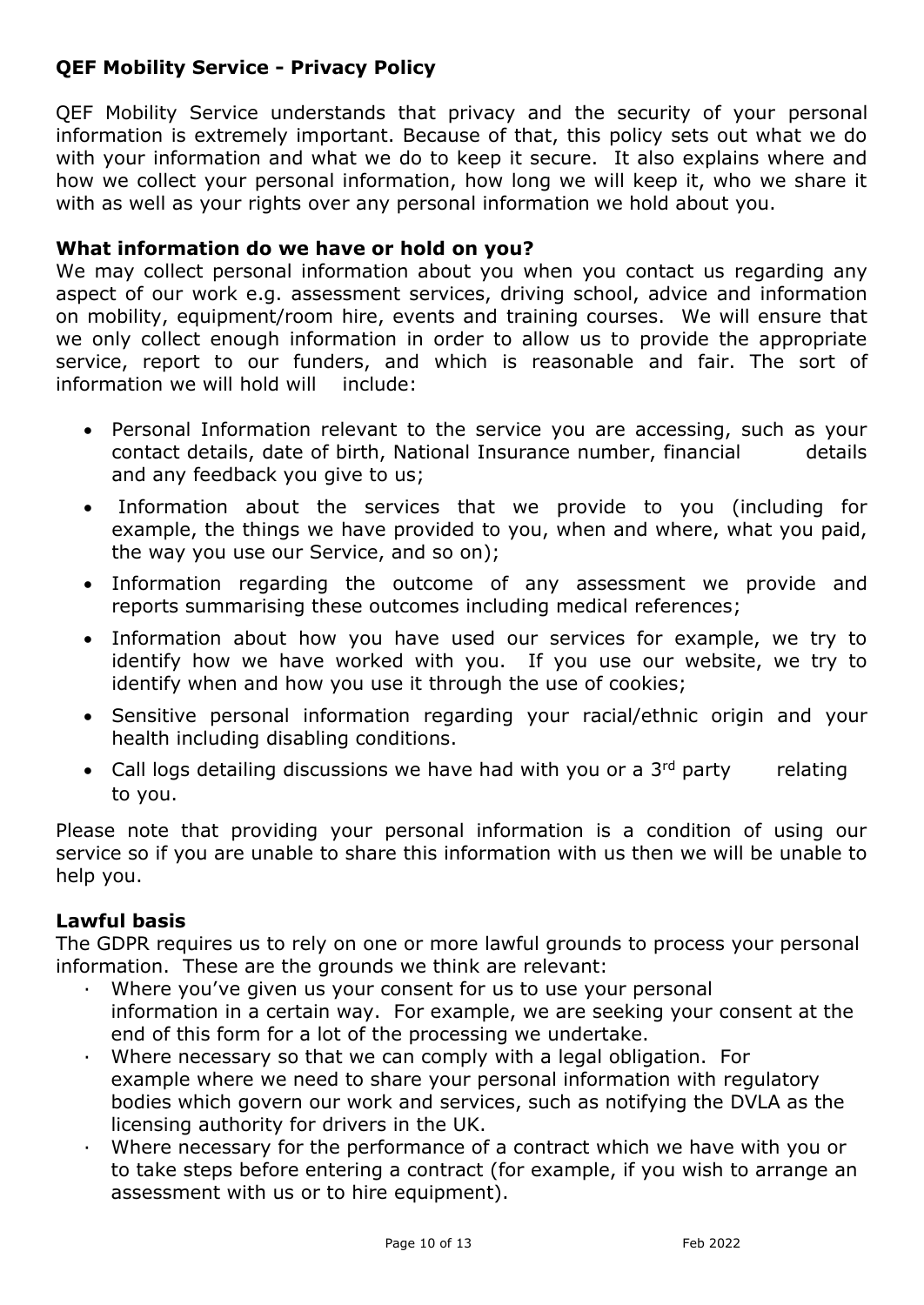# **QEF Mobility Service - Privacy Policy**

QEF Mobility Service understands that privacy and the security of your personal information is extremely important. Because of that, this policy sets out what we do with your information and what we do to keep it secure. It also explains where and how we collect your personal information, how long we will keep it, who we share it with as well as your rights over any personal information we hold about you.

### **What information do we have or hold on you?**

We may collect personal information about you when you contact us regarding any aspect of our work e.g. assessment services, driving school, advice and information on mobility, equipment/room hire, events and training courses. We will ensure that we only collect enough information in order to allow us to provide the appropriate service, report to our funders, and which is reasonable and fair. The sort of information we will hold will include:

- Personal Information relevant to the service you are accessing, such as your contact details, date of birth, National Insurance number, financial details and any feedback you give to us;
- Information about the services that we provide to you (including for example, the things we have provided to you, when and where, what you paid, the way you use our Service, and so on);
- Information regarding the outcome of any assessment we provide and reports summarising these outcomes including medical references;
- Information about how you have used our services for example, we try to identify how we have worked with you. If you use our website, we try to identify when and how you use it through the use of cookies;
- Sensitive personal information regarding your racial/ethnic origin and your health including disabling conditions.
- Call logs detailing discussions we have had with you or a  $3<sup>rd</sup>$  party relating to you.

Please note that providing your personal information is a condition of using our service so if you are unable to share this information with us then we will be unable to help you.

### **Lawful basis**

The GDPR requires us to rely on one or more lawful grounds to process your personal information. These are the grounds we think are relevant:

- Where you've given us your consent for us to use your personal information in a certain way. For example, we are seeking your consent at the end of this form for a lot of the processing we undertake.
- Where necessary so that we can comply with a legal obligation. For example where we need to share your personal information with regulatory bodies which govern our work and services, such as notifying the DVLA as the licensing authority for drivers in the UK.
- · Where necessary for the performance of a contract which we have with you or to take steps before entering a contract (for example, if you wish to arrange an assessment with us or to hire equipment).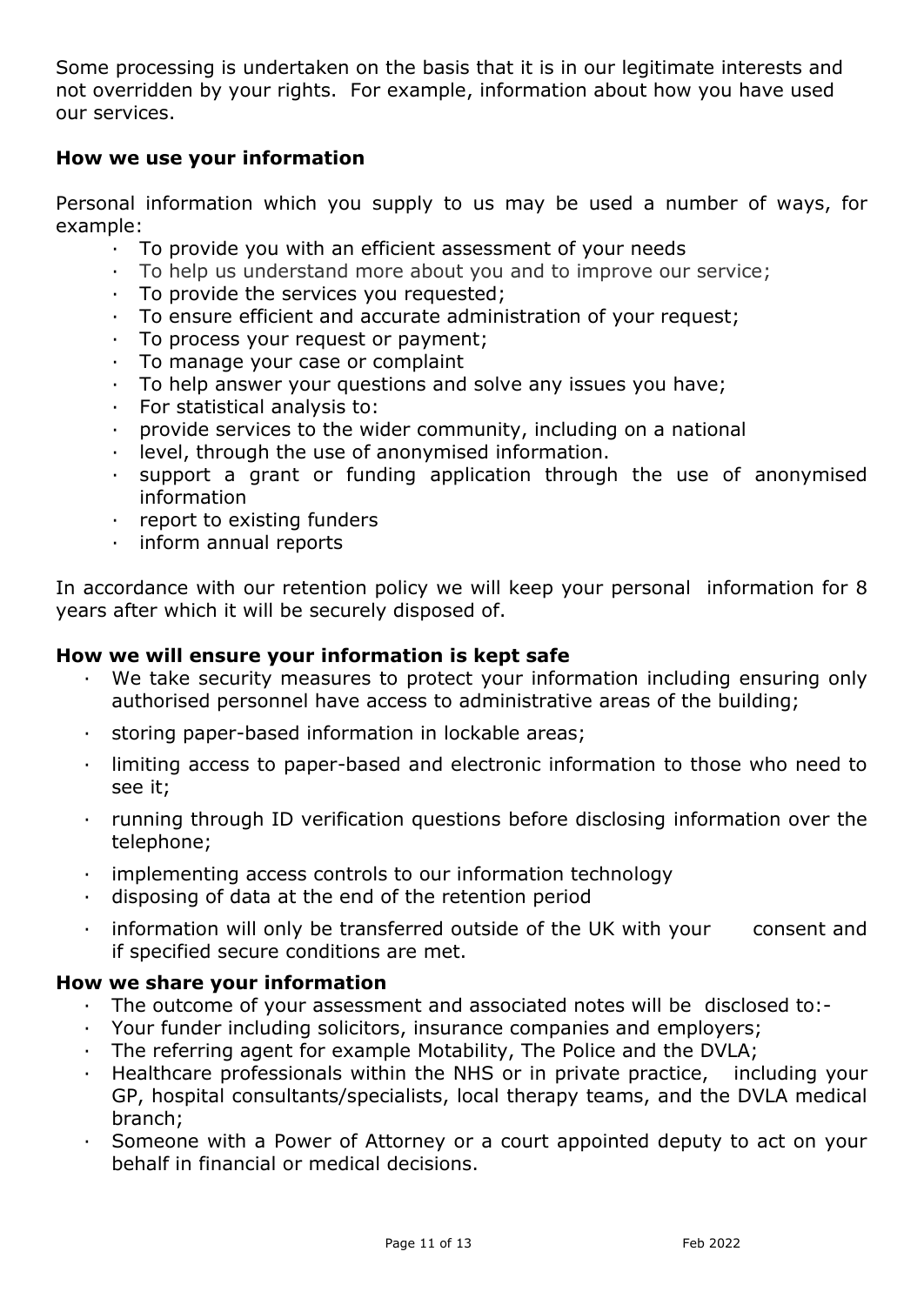Some processing is undertaken on the basis that it is in our legitimate interests and not overridden by your rights. For example, information about how you have used our services.

### **How we use your information**

Personal information which you supply to us may be used a number of ways, for example:

- · To provide you with an efficient assessment of your needs
- · To help us understand more about you and to improve our service;
- · To provide the services you requested;
- · To ensure efficient and accurate administration of your request;
- · To process your request or payment;
- · To manage your case or complaint
- · To help answer your questions and solve any issues you have;
- · For statistical analysis to:
- · provide services to the wider community, including on a national
- · level, through the use of anonymised information.
- · support a grant or funding application through the use of anonymised information
- · report to existing funders
- · inform annual reports

In accordance with our retention policy we will keep your personal information for 8 years after which it will be securely disposed of.

### **How we will ensure your information is kept safe**

- · We take security measures to protect your information including ensuring only authorised personnel have access to administrative areas of the building;
- · storing paper-based information in lockable areas;
- · limiting access to paper-based and electronic information to those who need to see it;
- · running through ID verification questions before disclosing information over the telephone;
- · implementing access controls to our information technology
- disposing of data at the end of the retention period
- information will only be transferred outside of the UK with your consent and if specified secure conditions are met.

### **How we share your information**

- The outcome of your assessment and associated notes will be disclosed to:-
- · Your funder including solicitors, insurance companies and employers;
- · The referring agent for example Motability, The Police and the DVLA;
- · Healthcare professionals within the NHS or in private practice, including your GP, hospital consultants/specialists, local therapy teams, and the DVLA medical branch;
- Someone with a Power of Attorney or a court appointed deputy to act on your behalf in financial or medical decisions.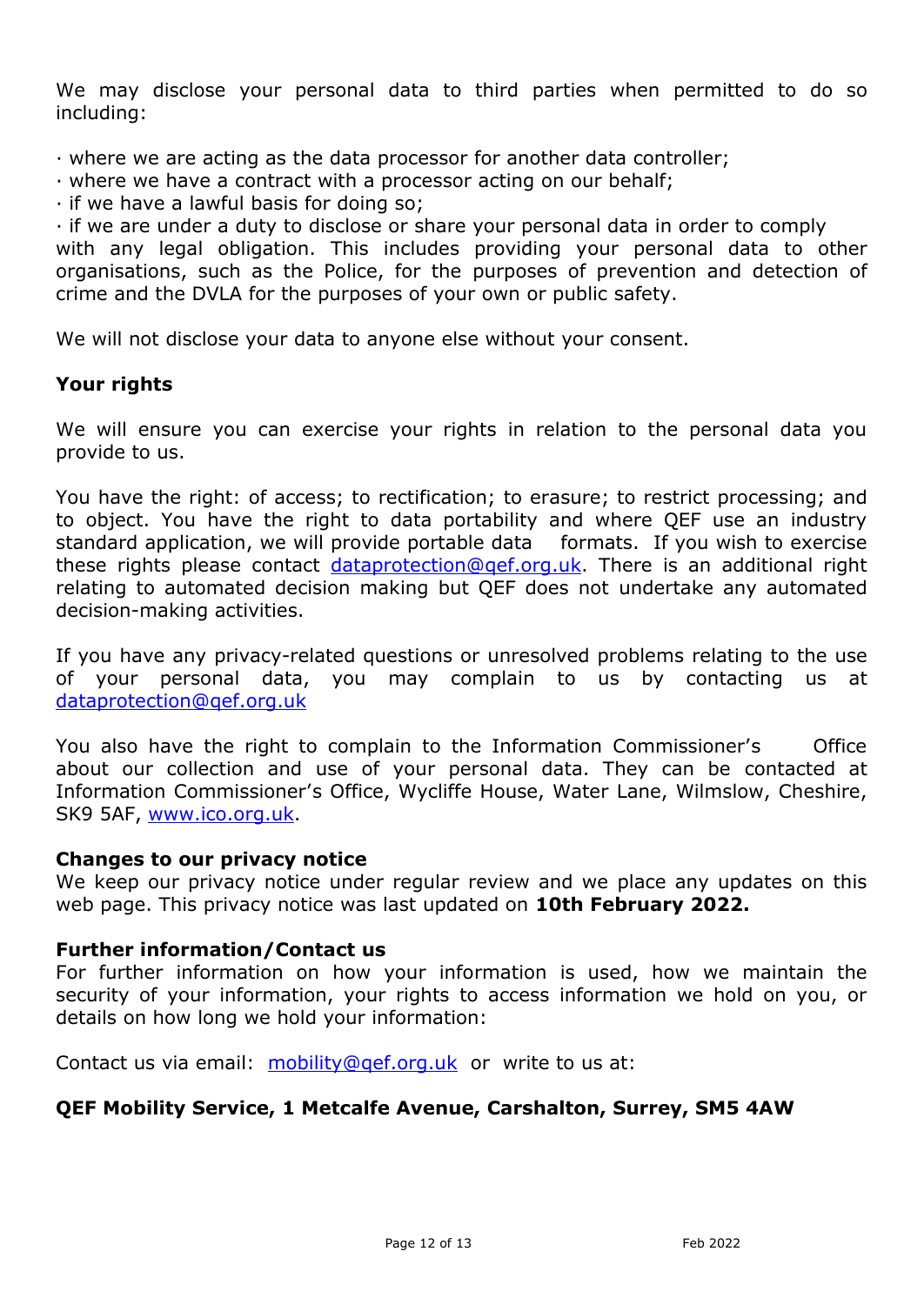We may disclose your personal data to third parties when permitted to do so including:

- · where we are acting as the data processor for another data controller;
- · where we have a contract with a processor acting on our behalf;
- · if we have a lawful basis for doing so;

· if we are under a duty to disclose or share your personal data in order to comply with any legal obligation. This includes providing your personal data to other organisations, such as the Police, for the purposes of prevention and detection of crime and the DVLA for the purposes of your own or public safety.

We will not disclose your data to anyone else without your consent.

### **Your rights**

We will ensure you can exercise your rights in relation to the personal data you provide to us.

You have the right: of access; to rectification; to erasure; to restrict processing; and to object. You have the right to data portability and where QEF use an industry standard application, we will provide portable data formats. If you wish to exercise these rights please contact dataprotection@gef.org.uk. There is an additional right relating to automated decision making but QEF does not undertake any automated decision-making activities.

If you have any privacy-related questions or unresolved problems relating to the use of your personal data, you may complain to us by contacting us at [dataprotection@qef.org.uk](mailto:dataprotection@qef.org.uk)

You also have the right to complain to the Information Commissioner's Office about our collection and use of your personal data. They can be contacted at Information Commissioner's Office, Wycliffe House, Water Lane, Wilmslow, Cheshire, SK9 5AF, [www.ico.org.uk.](http://www.ico.org.uk/)

### **Changes to our privacy notice**

We keep our privacy notice under regular review and we place any updates on this web page. This privacy notice was last updated on **10th February 2022.** 

### **Further information/Contact us**

For further information on how your information is used, how we maintain the security of your information, your rights to access information we hold on you, or details on how long we hold your information:

Contact us via email: [mobility@qef.org.uk](mailto:mobility@qef.org.uk) or write to us at:

### **QEF Mobility Service, 1 Metcalfe Avenue, Carshalton, Surrey, SM5 4AW**